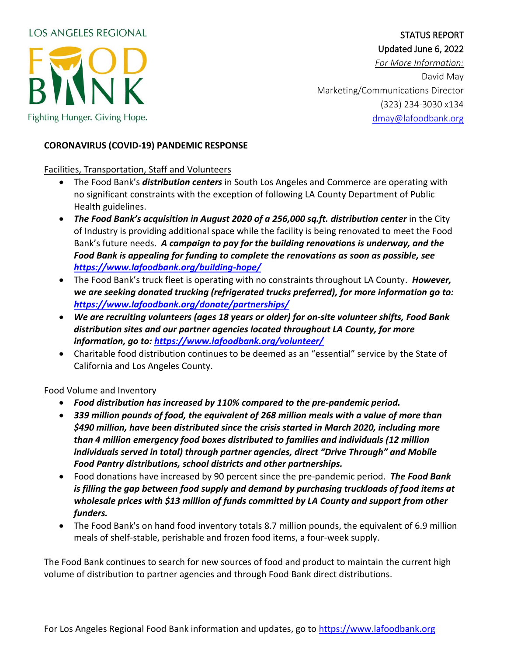## **LOS ANGELES REGIONAL**



# STATUS REPORT Updated June 6, 2022

*For More Information:* David May Marketing/Communications Director (323) 234-3030 x134 [dmay@lafoodbank.org](mailto:dmay@lafoodbank.org)

#### **CORONAVIRUS (COVID-19) PANDEMIC RESPONSE**

### Facilities, Transportation, Staff and Volunteers

- The Food Bank's *distribution centers* in South Los Angeles and Commerce are operating with no significant constraints with the exception of following LA County Department of Public Health guidelines.
- *The Food Bank's acquisition in August 2020 of a 256,000 sq.ft. distribution center* in the City of Industry is providing additional space while the facility is being renovated to meet the Food Bank's future needs. *A campaign to pay for the building renovations is underway, and the Food Bank is appealing for funding to complete the renovations as soon as possible, see <https://www.lafoodbank.org/building-hope/>*
- The Food Bank's truck fleet is operating with no constraints throughout LA County. *However, we are seeking donated trucking (refrigerated trucks preferred), for more information go to: <https://www.lafoodbank.org/donate/partnerships/>*
- *We are recruiting volunteers (ages 18 years or older) for on-site volunteer shifts, Food Bank distribution sites and our partner agencies located throughout LA County, for more information, go to:<https://www.lafoodbank.org/volunteer/>*
- Charitable food distribution continues to be deemed as an "essential" service by the State of California and Los Angeles County.

### Food Volume and Inventory

- *Food distribution has increased by 110% compared to the pre-pandemic period.*
- *339 million pounds of food, the equivalent of 268 million meals with a value of more than \$490 million, have been distributed since the crisis started in March 2020, including more than 4 million emergency food boxes distributed to families and individuals (12 million individuals served in total) through partner agencies, direct "Drive Through" and Mobile Food Pantry distributions, school districts and other partnerships.*
- Food donations have increased by 90 percent since the pre-pandemic period. *The Food Bank is filling the gap between food supply and demand by purchasing truckloads of food items at wholesale prices with \$13 million of funds committed by LA County and support from other funders.*
- The Food Bank's on hand food inventory totals 8.7 million pounds, the equivalent of 6.9 million meals of shelf-stable, perishable and frozen food items, a four-week supply.

The Food Bank continues to search for new sources of food and product to maintain the current high volume of distribution to partner agencies and through Food Bank direct distributions.